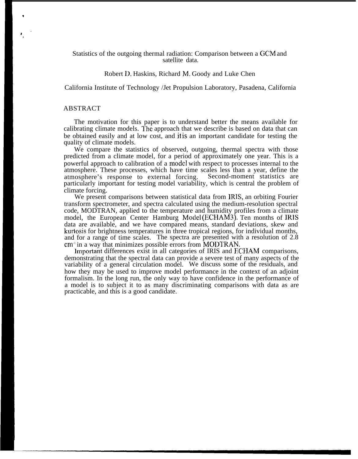Statistics of the outgoing thermal radiation: Comparison between a GCM and satellite data.

### Robert D. Haskins, Richard M. Goody and Luke Chen

California Institute of Technology /Jet Propulsion Laboratory, Pasadena, California

### ABSTRACT

1

**4' ,**

> The motivation for this paper is to understand better the means available for calibrating climate models. The approach that we describe is based on data that can be obtained easily and at low cost, and it is an important candidate for testing the quality of climate models.

> We compare the statistics of observed, outgoing, thermal spectra with those predicted from a climate model, for a period of approximately one year. This is a powerful approach to calibration of a model with respect to processes internal to the atmosphere. These processes, which have time scales less than a year, define the atmosphere's response to external forcing. Second-moment statistics are particularly important for testing model variability, which is central the problem of climate forcing.

> We present comparisons between statistical data from IRIS, an orbiting Fourier transform spectrometer, and spectra calculated using the medium-resolution spectral code, MODTRAN, applied to the temperature and humidity profiles from a climate model, the European Center Hamburg Model (ECHAM3). Ten months of IRIS data are available, and we have compared means, standard deviations, skew and kurtosis for brightness temperatures in three tropical regions, for individual months, and for a range of time scales. The spectra are presented with a resolution of 2.8 cm' in a way that minimizes possible errors from MODTRAN.

> Important differences exist in all categories of IRIS and ECHAM comparisons, demonstrating that the spectral data can provide a severe test of many aspects of the variability of a general circulation model. We discuss some of the residuals, and how they may be used to improve model performance in the context of an adjoint formalism. In the long run, the only way to have confidence in the performance of a model is to subject it to as many discriminating comparisons with data as are practicable, and this is a good candidate.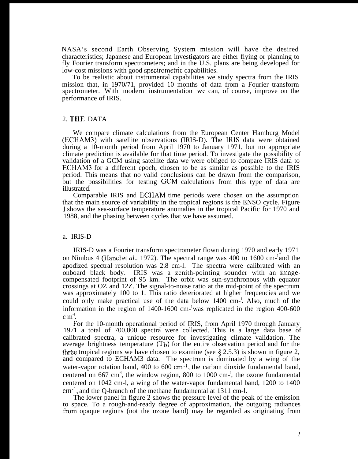NASA's second Earth Observing System mission will have the desired characteristics; Japanese and European investigators are either flying or planning to fly Fourier transform spectrometers; and in the U.S. plans are being developed for low-cost missions with good spectrometric capabilities.

To be realistic about instrumental capabilities we study spectra from the IRIS mission that, in 1970/71, provided 10 months of data from a Fourier transform spectrometer. With modern instrumentation we can, of course, improve on the performance of IRIS.

# 2. THE DATA

We compare climate calculations from the European Center Hamburg Model (ECHAM3) with satellite observations (IRIS-D). The IRIS data were obtained during a 10-month period from April 1970 to January 1971, but no appropriate climate prediction is available for that time period. To investigate the possibility of validation of a GCM using satellite data we were obliged to compare IRIS data to ECIIAM3 for a different epoch, chosen to be as similar as possible to the IRIS period. This means that no valid conclusions can be drawn from the comparison, but the possibilities for testing GCM calculations from this type of data are illustrated.

Comparable IRIS and ECHAM time periods were chosen on the assumption that the main source of variability in the tropical regions is the ENSO cycle. Figure 1 shows the sea-surface temperature anomalies in the tropical Pacific for 1970 and 1988, and the phasing between cycles that we have assumed.

#### a. IRIS-D

IRIS-D was a Fourier transform spectrometer flown during 1970 and early 1971 on Nimbus 4 (Hanel et *al.*, 1972). The spectral range was 400 to 1600 cm<sup>-1</sup> and the apodized spectral resolution was 2.8 cm-l. The spectra were calibrated with an onboard black body. IRIS was a zenith-pointing sounder with an imagecompensated footprint of 95 km. The orbit was sun-synchronous with equator crossings at OZ and 12Z. The signal-to-noise ratio at the mid-point of the spectrum was approximately 100 to 1. This ratio deteriorated at higher frequencies and we could only make practical use of the data below 1400 cm<sup>-1</sup>. Also, much of the information in the region of  $1400-1600$  cm- $\frac{1}{1}$  was replicated in the region 400-600  $\text{c m}^{\text{-1}}$ .

For the 10-month operational period of IRIS, from April 1970 through January 1971 a total of 700,000 spectra were collected. This is a large data base of calibrated spectra, a unique resource for investigating climate validation. The average brightness temperature  $(T<sub>b</sub>)$  for the entire observation period and for the three tropical regions we have chosen to examine (see  $\S 2.5.3$ ) is shown in figure 2, and compared to ECHAM3 data. The spectrum is dominated by a wing of the water-vapor rotation band, 400 to 600 cm<sup>-1</sup>, the carbon dioxide fundamental band, centered on 667 cm<sup>-1</sup>, the window region, 800 to 1000 cm<sup>-1</sup>, the ozone fundamental centered on 1042 cm-l, a wing of the water-vapor fundamental band, 1200 to 1400 cm-l, and the Q-branch of the methane fundamental at 1311 cm-l.

The lower panel in figure 2 shows the pressure level of the peak of the emission to space. To a rough-and-ready degree of approximation, the outgoing radiances from opaque regions (not the ozone band) may be regarded as originating from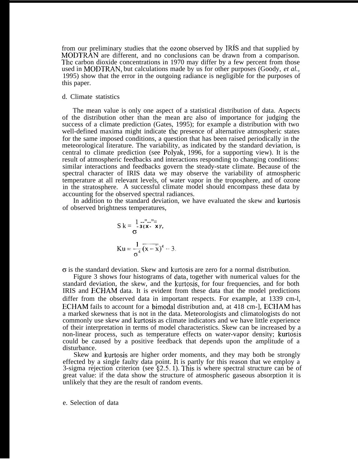from our preliminary studies that the ozone observed by IRIS and that supplied by MODTRAN are different, and no conclusions can be drawn from a comparison. The carbon dioxide concentrations in 1970 may differ by a few percent from those used in MODTRAN, but calculations made by us for other purposes (Goody, *et al.,* 1995) show that the error in the outgoing radiance is negligible for the purposes of this paper.

### d. Climate statistics

The mean value is only one aspect of a statistical distribution of data. Aspects of the distribution other than the mean are also of importance for judging the success of a climate prediction (Gates, 1995); for example a distribution with two well-defined maxima might indicate the presence of alternative atmospheric states for the same imposed conditions, a question that has been raised periodically in the meteorological literature. The variability, as indicated by the standard deviation, is central to climate prediction (see Polyak, 1996, for a supporting view). It is the result of atmospheric feedbacks and interactions responding to changing conditions: similar interactions and feedbacks govern the steady-state climate. Because of the spectral character of IRIS data we may observe the variability of atmospheric temperature at all relevant levels, of water vapor in the troposphere, and of ozone in the stratosphere. A successful climate model should encompass these data by accounting for the observed spectral radiances.

In addition to the standard deviation, we have evaluated the skew and kurtosis of observed brightness temperatures,

$$
S k = \frac{1 - x^{2} - x^{2}}{\sigma^{3}} (x - \bar{x})^{3},
$$
  

$$
K u = \frac{1}{\sigma^{4}} (\overline{x - \bar{x}})^{4} - 3
$$

 $\sigma$  is the standard deviation. Skew and kurtosis are zero for a normal distribution.

Figure 3 shows four histograms of data, together with numerical values for the standard deviation, the skew, and the kurtosis, for four frequencies, and for both IRIS and ECHAM data. It is evident from these data that the model predictions differ from the observed data in important respects. For example, at 1339 cm-l, ECHAM fails to account for a bimodal distribution and, at 418 cm-], ECIIAM has a marked skewness that is not in the data. Meteorologists and climatologists do not commonly use skew and kurtosis as climate indicators and we have little experience of their interpretation in terms of model characteristics. Skew can be increased by a non-linear process, such as temperature effects on water-vapor density; kurtosis could be caused by a positive feedback that depends upon the amplitude of a disturbance.

Skew and kurtosis are higher order moments, and they may both be strongly effected by a single faulty data point. II is partly for this reason that we employ a 3-sigma rejection criterion (see  $\S 2.5. 1$ ). This is where spectral structure can be of great value: if the data show the structure of atmospheric gaseous absorption it is unlikely that they are the result of random events.

e. Selection of data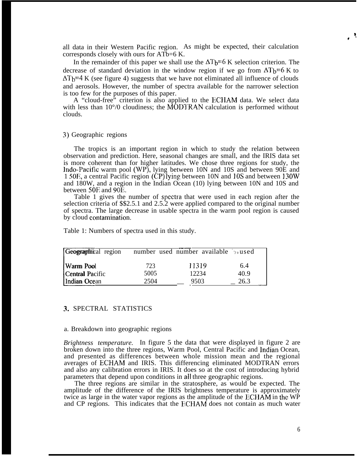all data in their Western Pacific region. As might be expected, their calculation corresponds closely with ours for ATb=6 K.

In the remainder of this paper we shall use the  $\Delta T_b=6$  K selection criterion. The decrease of standard deviation in the window region if we go from  $\Delta T_b=6$  K to  $\Delta T$ b<sup>=4</sup> K (see figure 4) suggests that we have not eliminated all influence of clouds and aerosols. However, the number of spectra available for the narrower selection is too few for the purposes of this paper.

A "cloud-free" criterion is also applied to the ECHAM data. We select data with less than 10°/0 cloudiness; the MODTRAN calculation is performed without clouds.

### 3) Geographic regions

The tropics is an important region in which to study the relation between observation and prediction. Here, seasonal changes are small, and the IRIS data set is more coherent than for higher latitudes. We chose three regions for study, the lndo-Pacific warm pool (WP), lying between 10N and 10S and between 90E and 1 SOE, a central Pacific region (CP) lying between 10N and 10S and between 130W and 180W, and a region in the Indian Ocean (10) lying between 10N and 10S and between 50E and 90E.

Table 1 gives the number of spectra that were used in each region after the selection criteria of \$\$2.5.1 and 2.5.2 were applied compared to the original number of spectra. The large decrease in usable spectra in the warm pool region is caused by cloud contamination.

Table 1: Numbers of spectra used in this study.

| Geographical region |      | number used number available voused |      |
|---------------------|------|-------------------------------------|------|
| Warm Pool           | 723  | 11319                               | 6.4  |
| Central Pacific     | 5005 | 12234                               | 40.9 |
| Indian Ocean        | 2504 | 9503                                | 26.3 |

### 3. SPECTRAL STATISTICS

### a. Breakdown into geographic regions

*Brightness temperature.* In figure 5 the data that were displayed in figure 2 are broken down into the three regions, Warm Pool, Central Pacific and lndian Ocean, and presented as differences between whole mission mean and the regional averages of ECHAM and IRIS. This differencing eliminated MODTRAN errors and also any calibration errors in IRIS. It does so at the cost of introducing hybrid parameters that depend upon conditions in all three geographic regions.

The three regions are similar in the stratosphere, as would be expected. The amplitude of the difference of the IRIS brightness temperature is approximately twice as large in the water vapor regions as the amplitude of the ECHAM in the WP and CP regions. This indicates that the ECHAM does not contain as much water

? **?'**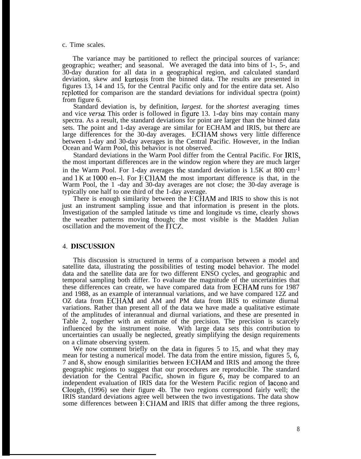c. Time scales.

The variance may be partitioned to reflect the principal sources of variance: geographic; weather; and seasonal. We averaged the data into bins of 1-, 5-, and 30-day duration for all data in a geographical region, and calculated standard deviation, skew and kurtosis from the binned data. The results are presented in figures 13, 14 and 15, for the Central Pacific only and for the entire data set. Also replotted for comparison are the standard deviations for individual spectra (point) from figure 6.

Standard deviation is, by definition, *largest.* for the *shortest* averaging times and vice versa. This order is followed in figure 13. 1-day bins may contain many spectra. As a result, the standard deviations for point are larger than the binned data sets. The point and 1-day average are similar for ECHAM and IRIS, but there are large differences for the 30-day averages. ECHAM shows very little difference between 1-day and 30-day averages in the Central Pacific. However, in the Indian Ocean and Warm Pool, this behavior is not observed.

Standard deviations in the Warm Pool differ from the Central Pacific. For IRIS, the most important differences are in the window region where they are much larger in the Warm Pool. For 1-day averages the standard deviation is 1.5K at 800 cm-l and  $1K$  at  $1000$  en--1. For  $ECHAM$  the most important difference is that, in the Warm Pool, the 1 -day and 30-day averages are not close; the 30-day average is typically one half to one third of the 1-day average.

There is enough similarity between the  $ECHAM$  and IRIS to show this is not just an instrument sampling issue and that information is present in the plots. Investigation of the sampled latitude vs time and longitude vs time, clearly shows the weather patterns moving though; the most visible is the Madden Julian oscillation and the movement of the ITCZ.

### 4. **DISCtJSSIOIN**

This discussion is structured in terms of a comparison between a model and satellite data, illustrating the possibilities of testing model behavior. The model data and the satellite data are for two different ENSO cycles, and geographic and temporal sampling both differ. To evaluate the magnitude of the uncertainties that these differences can create, we have compared data from ECHAM runs for 1987 and 1988, as an example of interannual variations, and we have compared 12Z and OZ data from ECHAM and AM and PM data from IRIS to estimate diurnal variations. Rather than present all of the data we have made a qualitative estimate of the amplitudes of interannual and diurnal variations, and these are presented in Table 2, together with an estimate of the precision. The precision is scarcely influenced by the instrument noise. With large data sets this contribution to uncertainties can usually be neglected, greatly simplifying the design requirements on a climate observing system.

We now comment briefly on the data in figures 5 to 15, and what they may mean for testing a numerical model. The data from the entire mission, figures 5, 6, 7 and 8, show enough similarities between ECHAM and IRIS and among the three geographic regions to suggest that our procedures are reproducible. The standard deviation for the Central Pacific, shown in figure  $6$ , may be compared to an independent evaluation of IRIS data for the Western Pacific region of Iacono and Clough, (1996) see their figure 4b. The two regions correspond fairly well; the IRIS standard deviations agree well between the two investigations. The data show some differences between ECHAM and IRIS that differ among the three regions,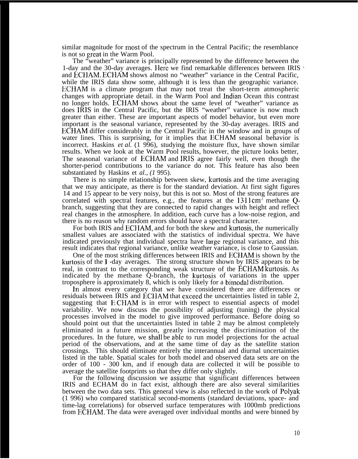similar magnitude for most of the spectrum in the Central Pacific; the resemblance is not so great in the Warm Pool.

The "weather" variance is principally represented by the difference between the 1-day and the 30-day averages. Here we find remarkable differences between IRIS  $\cdot$ and ECIIAM. ECHAM shows almost no "weather" variance in the Central Pacific, while the IRIS data show some, although it is less than the geographic variance.  $ECHAM$  is a climate program that may not treat the short-term atmospheric changes with appropriate detail. in the Warm Pool and lndian Ocean this contrast no longer holds. ECHAM shows about the same level of "weather" variance as does IRIS in the Central Pacific, but the IRIS "weather" variance is now much greater than either. These are important aspects of model behavior, but even more important is the seasonal variance, represented by the 30-day averages. IRIS and ECHAM differ considerably in the Central Pacific in the window and in groups of water lines. This is surprising, for it implies that ECHAM seasonal behavior is incorrect. Haskins *et al.* (1 996), studying the moisture flux, have shown similar results. When we look at the Warm Pool results, however, the picture looks better, The seasonal variance of ECHAM and IRIS agree fairly well, even though the shorter-period contributions to the variance do not. This feature has also been substantiated by Haskins et *al., (1* 995).

There is no simple relationship between skew, kurtosis and the time averaging that we may anticipate, as there is for the standard deviation. At first sight figures 14 and 15 appear to be very noisy, but this is not so. Most of the strong features are correlated with spectral features, e.g., the features at the  $1311 \text{cm}$  methane Qbranch, suggesting that they are connected to rapid changes with height and reflect real changes in the atmosphere. In addition, each curve has a low-noise region, and there is no reason why random errors should have a spectral character.

For both IRIS and ECHAM, and for both the skew and kurtosis, the numerically smallest values are associated with the statistics of individual spectra. We have indicated previously that individual spectra have large regional variance, and this result indicates that regional variance, unlike weather variance, is close to Gaussian.

One of the most striking differences between IRIS and ECHAM is shown by the kurtosis of the 1 -day averages. The strong structure shown by IRIS appears to be real, in contrast to the corresponding weak structure of the ECHAM kurtosis. As indicated by the methane Q-branch, the kurtosis of variations in the upper troposphere is approximately 8, which is only likely for a birnodal distribution.

]n almost every category that we have considered there are differences or residuals between IRIS and ECHAM that exceed the uncertainties listed in table 2, suggesting that ECHAM is in error with respect to essential aspects of model variability. We now discuss the possibility of adjusting (tuning) the physical processes involved in the model to give improved performance. Before doing so should point out that the uncertainties listed in table 2 may be almost completely eliminated in a future mission, greatly increasing the discrimination of the procedures. In the future, we shall be able to run model projections for the actual period of the observations, and at the same time of day as the satellite station crossings. This should eliminate entirely the interannual and diurnal uncertainties listed in the table. Spatial scales for both model and observed data sets are on the order of 100 - 300 km, and if enough data are collected it will be possible to average the satellite footprints so that they differ only slightly.

For the following discussion we assume that significant differences between IRIS and ECHAM do in fact exist, although there are also several similarities between the two data sets. This general view is also reflected in the work of Polyak (1 996) who compared statistical second-moments (standard deviations, space- and time-lag correlations) for observed surface temperatures with 1000mb predictions from ECHAM. The data were averaged over individual months and were binned by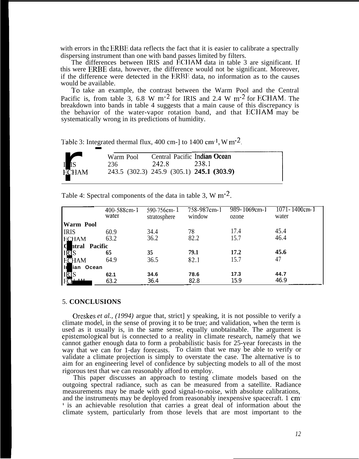with errors in the ERBE data reflects the fact that it is easier to calibrate a spectrally dispersing instrument than one with band passes limited by filters.

The differences between IRIS and ECHAM data in table 3 are significant. If this were ERBE data, however, the difference would not be significant. Moreover, if the difference were detected in the ERBE data, no information as to the causes would be available.

To take an example, the contrast between the Warm Pool and the Central Pacific is, from table 3, 6.8 W  $m^{-2}$  for IRIS and 2.4 W  $m^{-2}$  for ECHAM. The breakdown into bands in table 4 suggests that a main cause of this discrepancy is the behavior of the water-vapor rotation band, and that ECHAM may be systematically wrong in its predictions of humidity. ith band passes limited by filters.<br> **123** and ECHAM data in table 3 are significated a specific the difference would not be significant. Morin the ERBE data, no information as to the ontrast between the Warm Pool and the

|               | Warm Pool Central Pacific Indian Ocean    |       |
|---------------|-------------------------------------------|-------|
| 236           | 242.8                                     | 238.1 |
| ILIS<br>ECHAM | 243.5 (302.3) 245.9 (305.1) 245.1 (303.9) |       |

Table 4: Spectral components of the data in table 3, W  $m^{-2}$ .

|                              | 400-588cm-1<br>water | 590-756cm-1<br>stratosphere | 758-987cm-1<br>window | 989-1069cm-1<br>ozone | $1071 - 1400$ cm-1<br>water |
|------------------------------|----------------------|-----------------------------|-----------------------|-----------------------|-----------------------------|
| <b>Warm Pool</b>             |                      |                             |                       |                       |                             |
| <b>IRIS</b>                  | 60.9                 | 34.4                        | 78                    | 17.4                  | 45.4                        |
| FCHAM                        | 63.2                 | 36.2                        | 82.2                  | 15.7                  | 46.4                        |
| $\mathbf C$<br>ntral Pacific |                      |                             |                       |                       |                             |
| IRIS                         | 65                   | 35                          | 79.1                  | 17.2                  | 45.6                        |
| <b>ECHAM</b>                 | 64.9                 | 36.5                        | 82.1                  | 15.7                  | 47                          |
| $\mathbf{I}$<br>Ocean<br>ian |                      |                             |                       |                       |                             |
| IEIS                         | 62.1                 | 34.6                        | 78.6                  | 17.3                  | 44.7                        |
| FCI <sup>-11</sup>           | 63.2                 | 36.4                        | 82.8                  | 15.9                  | 46.9                        |

### 5. **CONCLUSIONS**

Oreskes *et al., (1994)* argue that, strict] y speaking, it is not possible to verify a climate model, in the sense of proving it to be true; and validation, when the term is used as it usually is, in the same sense, equally unobtainable. The argument is epistemological but is connected to a reality in climate research, namely that we cannot gather enough data to form a probabilistic basis for 25-year forecasts in the way that we can for 1-day forecasts. To claim that we may be able to verify or validate a climate projection is simply to overstate the case. The alternative is to aim for an engineering level of confidence by subjecting models to all of the most rigorous test that we can reasonably afford to employ.

This paper discusses an approach to testing climate models based on the outgoing spectral radiance, such as can be measured from a satellite. Radiance measurements may be made with good signal-to-noise, with absolute calibrations, and the instruments may be deployed from reasonably inexpensive spacecraft. 1 cm ' is an achievable resolution that carries a great deal of information about the climate system, particularly from those levels that are most important to the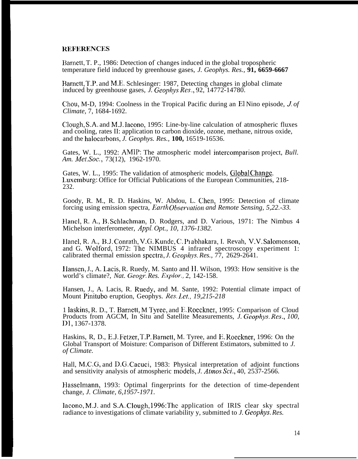## **REFltRENCES**

Barnett, T. P., 1986: Detection of changes induced in the global tropospheric temperature field induced by greenhouse gases, *J. Geophys. Res.,* **91, 6659-6667**

Bamett, T.P. and M.E. Schlesinger: 1987, Detecting changes in global climate induced by greenhouse gases, *J. Geophys Rex.,* 92, 14772-14780.

Chou, M-D, 1994: Coolness in the Tropical Pacific during an El Nino episode, *J. of Climate,* 7, 1684-1692.

Clough, S.A. and M.J. lacono, 1995: Line-by-line calculation of atmospheric fluxes and cooling, rates II: application to carbon dioxide, ozone, methane, nitrous oxide, and the halocarbons, *J. Geophys. Res.,* **100,** 16519-16536.

Gates, W. L., 1992: AMIP: The atmospheric model intercomparison project, *Bull. Am. Mel.* **&2C.,** 73(12), 1962-1970.

Gates, W. L., 1995: The validation of atmospheric models, Global Change, Luxemburg: Office for Official Publications of the European Communities, 218- 232.

Goody, R. M., R. D. Haskins, W. Abdou, L. Chen, 1995: Detection of climate forcing using emission spectra, *Earth Observation and Remote Sensing, 5,22.-33.* 

Hanel, R. A., B. Schlachman, D. Rodgers, and D. Various, 1971: The Nimbus 4 Michelson interferometer, *Appl. Opt., 10, 1376-1382.*

}Ianel, R. A., B.J. Conrath, V.G. Kunde, C. PI abhakara, I. Revah, V.V. Salomonson, and G. Wolford, 1972: The NIMBUS 4 infrared spectroscopy experiment 1: calibrated thermal emission spectra, *J. Geophys. Res.*, 77, 2629-2641.

<sup>1</sup> Iansen, J., A. Lacis, R. Ruedy, M. Santo and 11. Wilson, 1993: How sensitive is the world's climate?, *Nat. Geogr. Res. ExploY.,* 2, 142-158.

Hansen, J., A. Lacis, R. Ruedy, and M. Sante, 1992: Potential climate impact of Mount Pinitubo eruption, Geophys. *Res. Let., 19,215-218* 

1 laskins, R. D., T. Bamett, M Tyree, and F. Roeckner, 1995: Comparison of Cloud Products from AGCM, In Situ and Satellite Measurements, *J. Geophys. Res., 100,* Dl, 1367-1378.

Haskins, R, D., E.J. Fetzer, T.P. Barnett, M. Tyree, and F;. Roeckner, 1996: On the Global Transport of Moisture: Comparison of Different Estimators, submitted to *J. of Climate.*

Hall, M.C.G, and D.G. Cacuci, 1983: Physical interpretation of adjoint functions and sensitivity analysis of atmospheric models, *J. Atmos Sci.*, 40, 2537-2566.

Hasselmann, 1993: Optimal fingerprints for the detection of time-dependent change, *J. Climate, 6,1957-1971.*

lacono, M.J. and S.A. Clough, 1996:The application of IRIS clear sky spectral radiance to investigations of climate variability y, submitted to *J. Geophys. Res.*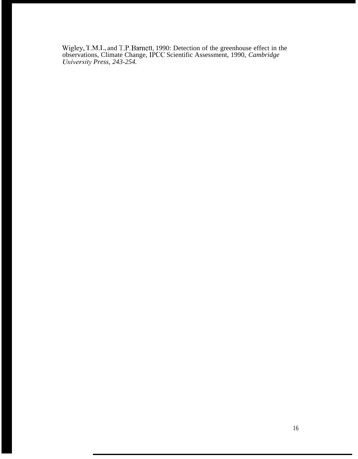Wigley, T.M.L., and T.P. Barnett, 1990: Detection of the greenhouse effect in the observations, Climate Change, IPCC Scientific Assessment, 1990, *Cambridge [Jniva-sity Press, 243-254.*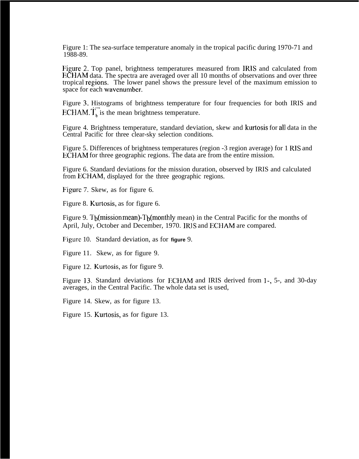Figure 1: The sea-surface temperature anomaly in the tropical pacific during 1970-71 and 1988-89.

Figure2. Top panel, brightness temperatures measured from HUS and calculated from  $ECHAM$  data. The spectra are averaged over all 10 months of observations and over three tropical regions. The lower panel shows the pressure level of the maximum emission to space for each wavenumber.

Figure 3. Histograms of brightness temperature for four frequencies for both IRIS and ECHAM.  $\overline{T_k}$  is the mean brightness temperature.

Figure 4. Brightness temperature, standard deviation, skew and kurtosis for all data in the Central Pacific for three clear-sky selection conditions.

Figure 5. Differences of brightness temperatures (region -3 region average) for 1 RIS and ECHAM for three geographic regions. The data are from the entire mission.

Figure 6. Standard deviations for the mission duration, observed by IRIS and calculated from BCHAM, displayed for the three geographic regions.

**Figure** 7. Skew, as for figure 6.

Figure 8. Kurtosis, as for figure 6.

Figure 9. T<sub>b</sub>(mission mean)-T<sub>b</sub>(monthly mean) in the Central Pacific for the months of April, July, October and December, 1970. INS and ECHAM are compared.

Figure 10. Standard deviation, as for **figure** 9.

Figure 11. Skew, as for figure 9.

Figure 12. Kurtosis, as for figure 9.

Figure 13. Standard deviations for ECHAM and IRIS derived from 1-, 5-, and 30-day averages, in the Central Pacific. The whole data set is used,

Figure 14. Skew, as for figure 13.

Figure 15. Kurtosis, as for figure 13.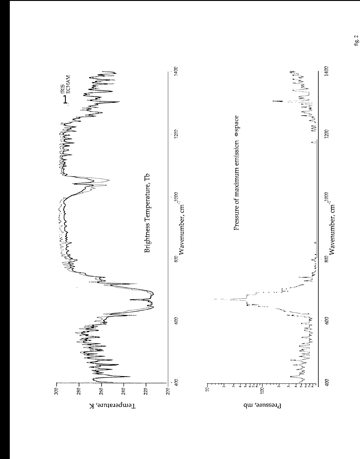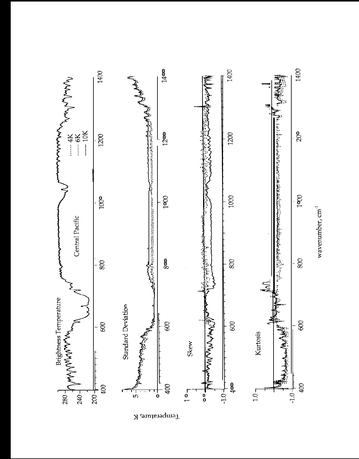



Temperature, K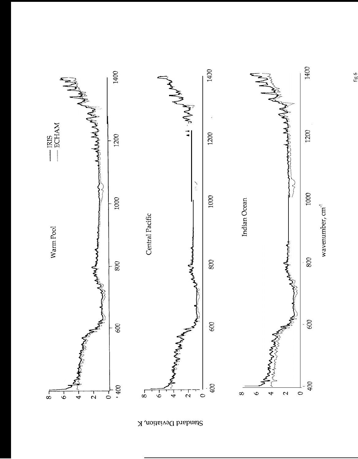

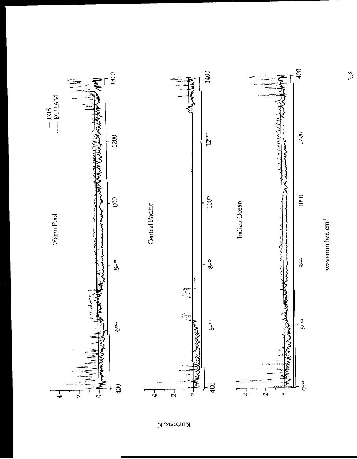



Kurtosis, K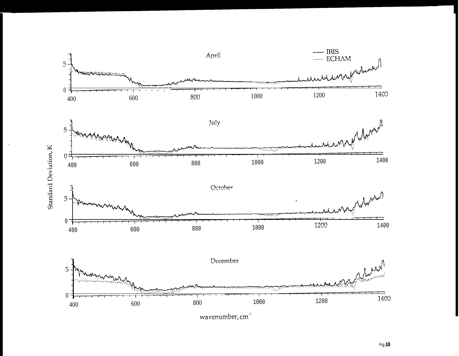

Fig 10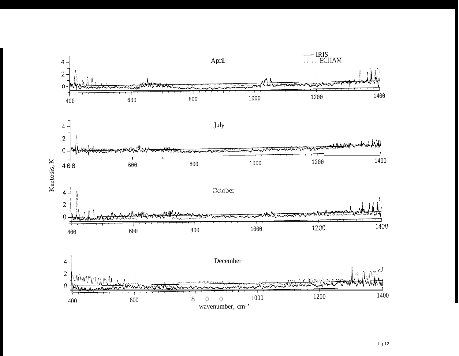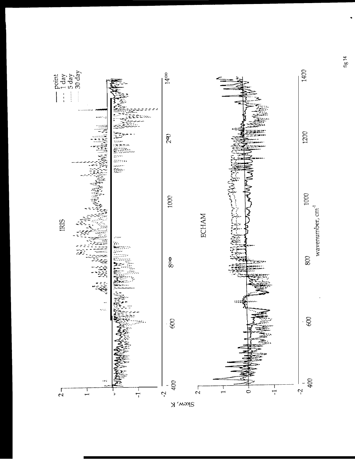

 $\rm{fig\,14}$